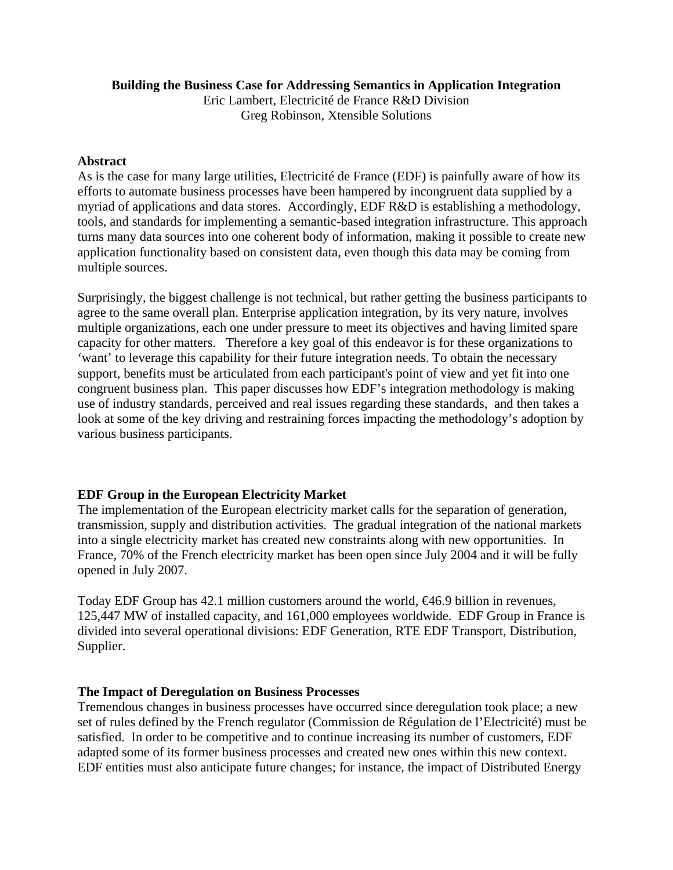#### **Building the Business Case for Addressing Semantics in Application Integration**

Eric Lambert, Electricité de France R&D Division Greg Robinson, Xtensible Solutions

#### **Abstract**

As is the case for many large utilities, Electricité de France (EDF) is painfully aware of how its efforts to automate business processes have been hampered by incongruent data supplied by a myriad of applications and data stores. Accordingly, EDF R&D is establishing a methodology, tools, and standards for implementing a semantic-based integration infrastructure. This approach turns many data sources into one coherent body of information, making it possible to create new application functionality based on consistent data, even though this data may be coming from multiple sources.

Surprisingly, the biggest challenge is not technical, but rather getting the business participants to agree to the same overall plan. Enterprise application integration, by its very nature, involves multiple organizations, each one under pressure to meet its objectives and having limited spare capacity for other matters. Therefore a key goal of this endeavor is for these organizations to 'want' to leverage this capability for their future integration needs. To obtain the necessary support, benefits must be articulated from each participant's point of view and yet fit into one congruent business plan. This paper discusses how EDF's integration methodology is making use of industry standards, perceived and real issues regarding these standards, and then takes a look at some of the key driving and restraining forces impacting the methodology's adoption by various business participants.

# **EDF Group in the European Electricity Market**

The implementation of the European electricity market calls for the separation of generation, transmission, supply and distribution activities. The gradual integration of the national markets into a single electricity market has created new constraints along with new opportunities. In France, 70% of the French electricity market has been open since July 2004 and it will be fully opened in July 2007.

Today EDF Group has 42.1 million customers around the world, €46.9 billion in revenues, 125,447 MW of installed capacity, and 161,000 employees worldwide. EDF Group in France is divided into several operational divisions: EDF Generation, RTE EDF Transport, Distribution, Supplier.

# **The Impact of Deregulation on Business Processes**

Tremendous changes in business processes have occurred since deregulation took place; a new set of rules defined by the French regulator (Commission de Régulation de l'Electricité) must be satisfied. In order to be competitive and to continue increasing its number of customers, EDF adapted some of its former business processes and created new ones within this new context. EDF entities must also anticipate future changes; for instance, the impact of Distributed Energy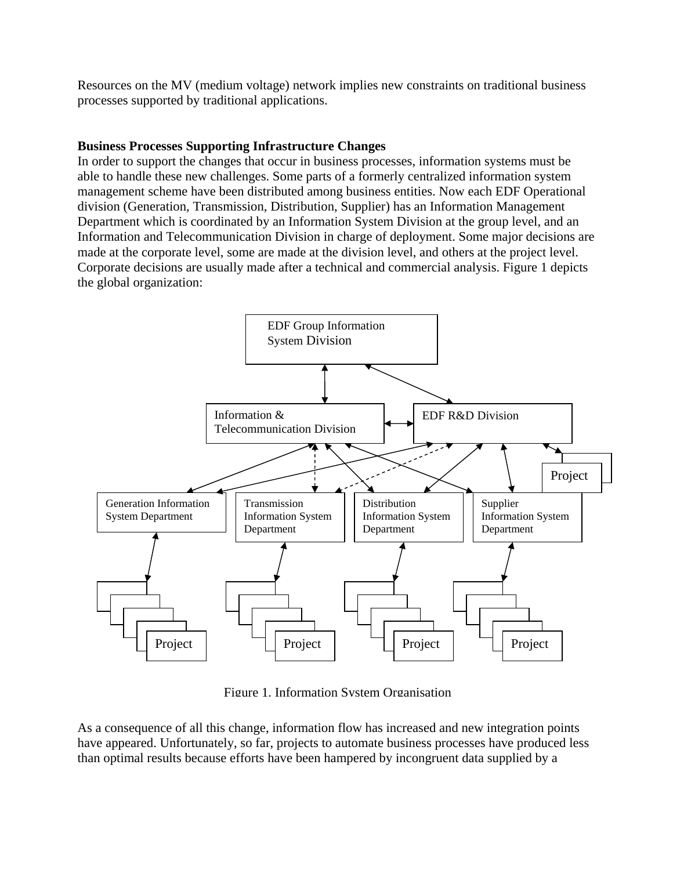Resources on the MV (medium voltage) network implies new constraints on traditional business processes supported by traditional applications.

### **Business Processes Supporting Infrastructure Changes**

In order to support the changes that occur in business processes, information systems must be able to handle these new challenges. Some parts of a formerly centralized information system management scheme have been distributed among business entities. Now each EDF Operational division (Generation, Transmission, Distribution, Supplier) has an Information Management Department which is coordinated by an Information System Division at the group level, and an Information and Telecommunication Division in charge of deployment. Some major decisions are made at the corporate level, some are made at the division level, and others at the project level. Corporate decisions are usually made after a technical and commercial analysis. Figure 1 depicts the global organization:



Figure 1. Information System Organisation

As a consequence of all this change, information flow has increased and new integration points have appeared. Unfortunately, so far, projects to automate business processes have produced less than optimal results because efforts have been hampered by incongruent data supplied by a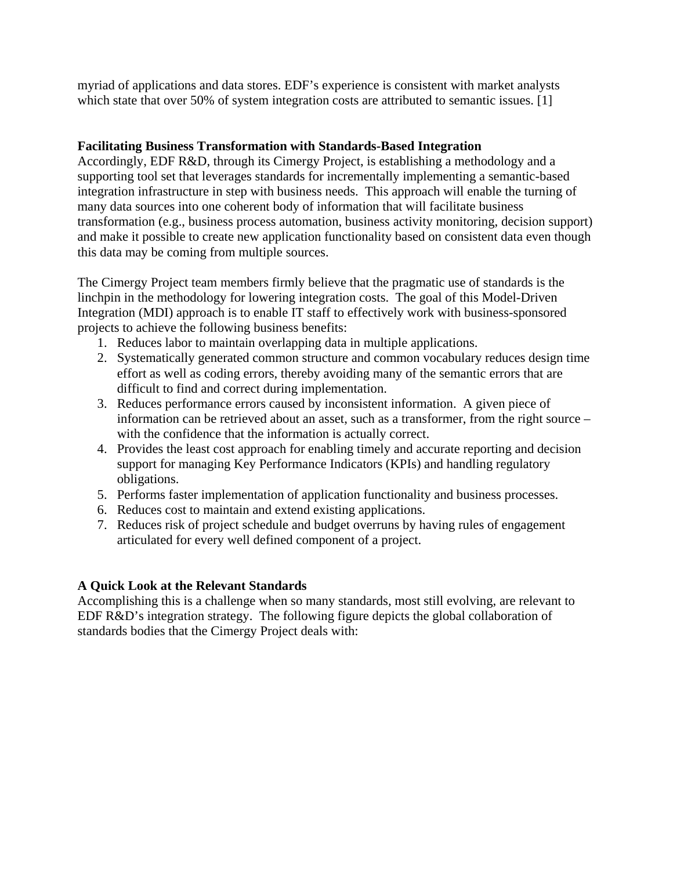myriad of applications and data stores. EDF's experience is consistent with market analysts which state that over 50% of system integration costs are attributed to semantic issues. [1]

# **Facilitating Business Transformation with Standards-Based Integration**

Accordingly, EDF R&D, through its Cimergy Project, is establishing a methodology and a supporting tool set that leverages standards for incrementally implementing a semantic-based integration infrastructure in step with business needs. This approach will enable the turning of many data sources into one coherent body of information that will facilitate business transformation (e.g., business process automation, business activity monitoring, decision support) and make it possible to create new application functionality based on consistent data even though this data may be coming from multiple sources.

The Cimergy Project team members firmly believe that the pragmatic use of standards is the linchpin in the methodology for lowering integration costs. The goal of this Model-Driven Integration (MDI) approach is to enable IT staff to effectively work with business-sponsored projects to achieve the following business benefits:

- 1. Reduces labor to maintain overlapping data in multiple applications.
- 2. Systematically generated common structure and common vocabulary reduces design time effort as well as coding errors, thereby avoiding many of the semantic errors that are difficult to find and correct during implementation.
- 3. Reduces performance errors caused by inconsistent information. A given piece of information can be retrieved about an asset, such as a transformer, from the right source – with the confidence that the information is actually correct.
- 4. Provides the least cost approach for enabling timely and accurate reporting and decision support for managing Key Performance Indicators (KPIs) and handling regulatory obligations.
- 5. Performs faster implementation of application functionality and business processes.
- 6. Reduces cost to maintain and extend existing applications.
- 7. Reduces risk of project schedule and budget overruns by having rules of engagement articulated for every well defined component of a project.

# **A Quick Look at the Relevant Standards**

Accomplishing this is a challenge when so many standards, most still evolving, are relevant to EDF R&D's integration strategy. The following figure depicts the global collaboration of standards bodies that the Cimergy Project deals with: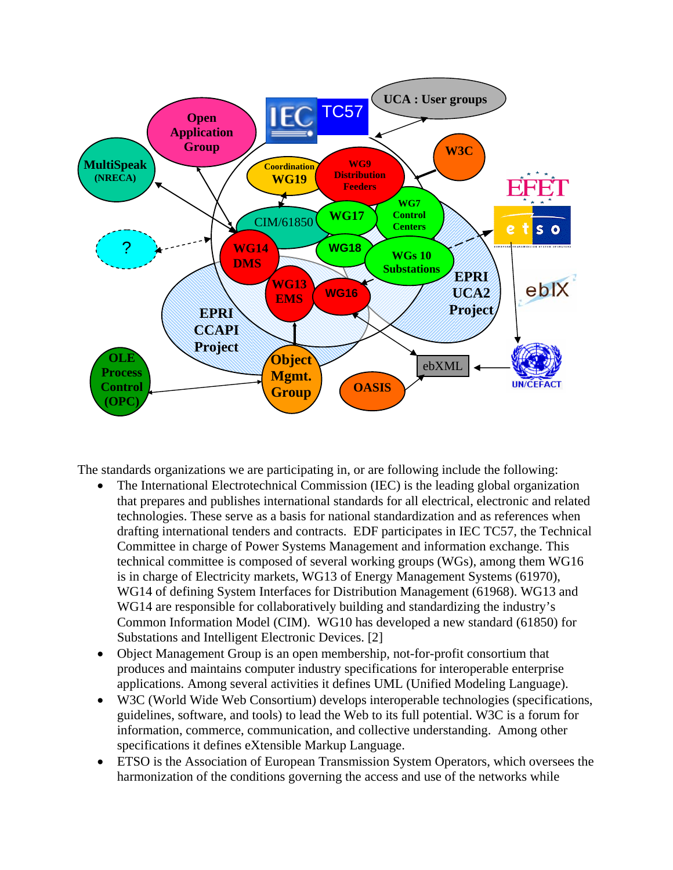

The standards organizations we are participating in, or are following include the following:

- The International Electrotechnical Commission (IEC) is the leading global organization that prepares and publishes international standards for all electrical, electronic and related technologies. These serve as a basis for national standardization and as references when drafting international tenders and contracts. EDF participates in IEC TC57, the Technical Committee in charge of Power Systems Management and information exchange. This technical committee is composed of several working groups (WGs), among them WG16 is in charge of Electricity markets, WG13 of Energy Management Systems (61970), WG14 of defining System Interfaces for Distribution Management (61968). WG13 and WG14 are responsible for collaboratively building and standardizing the industry's Common Information Model (CIM). WG10 has developed a new standard (61850) for Substations and Intelligent Electronic Devices. [2]
- Object Management Group is an open membership, not-for-profit consortium that produces and maintains computer industry specifications for interoperable enterprise applications. Among several activities it defines UML (Unified Modeling Language).
- W3C (World Wide Web Consortium) develops interoperable technologies (specifications, guidelines, software, and tools) to lead the Web to its full potential. W3C is a forum for information, commerce, communication, and collective understanding. Among other specifications it defines eXtensible Markup Language.
- ETSO is the Association of European Transmission System Operators, which oversees the harmonization of the conditions governing the access and use of the networks while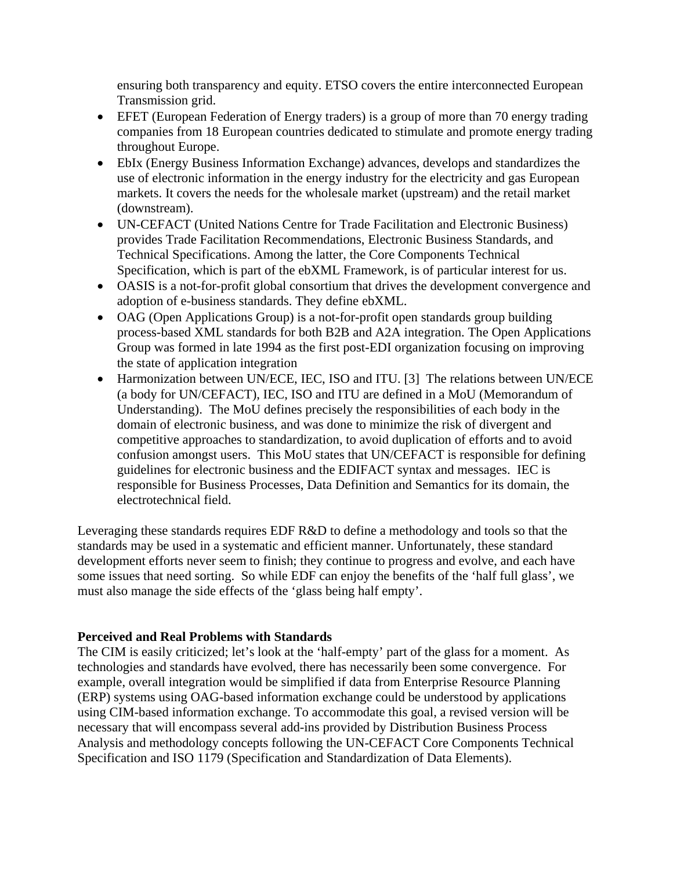ensuring both transparency and equity. ETSO covers the entire interconnected European Transmission grid.

- EFET (European Federation of Energy traders) is a group of more than 70 energy trading companies from 18 European countries dedicated to stimulate and promote energy trading throughout Europe.
- EbIx (Energy Business Information Exchange) advances, develops and standardizes the use of electronic information in the energy industry for the electricity and gas European markets. It covers the needs for the wholesale market (upstream) and the retail market (downstream).
- UN-CEFACT (United Nations Centre for Trade Facilitation and Electronic Business) provides Trade Facilitation Recommendations, Electronic Business Standards, and Technical Specifications. Among the latter, the Core Components Technical Specification, which is part of the ebXML Framework, is of particular interest for us.
- OASIS is a not-for-profit global consortium that drives the development convergence and adoption of e-business standards. They define ebXML.
- OAG (Open Applications Group) is a not-for-profit open standards group building process-based XML standards for both B2B and A2A integration. The Open Applications Group was formed in late 1994 as the first post-EDI organization focusing on improving the state of application integration
- Harmonization between UN/ECE, IEC, ISO and ITU. [3] The relations between UN/ECE (a body for UN/CEFACT), IEC, ISO and ITU are defined in a MoU (Memorandum of Understanding). The MoU defines precisely the responsibilities of each body in the domain of electronic business, and was done to minimize the risk of divergent and competitive approaches to standardization, to avoid duplication of efforts and to avoid confusion amongst users. This MoU states that UN/CEFACT is responsible for defining guidelines for electronic business and the EDIFACT syntax and messages. IEC is responsible for Business Processes, Data Definition and Semantics for its domain, the electrotechnical field.

Leveraging these standards requires EDF R&D to define a methodology and tools so that the standards may be used in a systematic and efficient manner. Unfortunately, these standard development efforts never seem to finish; they continue to progress and evolve, and each have some issues that need sorting. So while EDF can enjoy the benefits of the 'half full glass', we must also manage the side effects of the 'glass being half empty'.

# **Perceived and Real Problems with Standards**

The CIM is easily criticized; let's look at the 'half-empty' part of the glass for a moment. As technologies and standards have evolved, there has necessarily been some convergence. For example, overall integration would be simplified if data from Enterprise Resource Planning (ERP) systems using OAG-based information exchange could be understood by applications using CIM-based information exchange. To accommodate this goal, a revised version will be necessary that will encompass several add-ins provided by Distribution Business Process Analysis and methodology concepts following the UN-CEFACT Core Components Technical Specification and ISO 1179 (Specification and Standardization of Data Elements).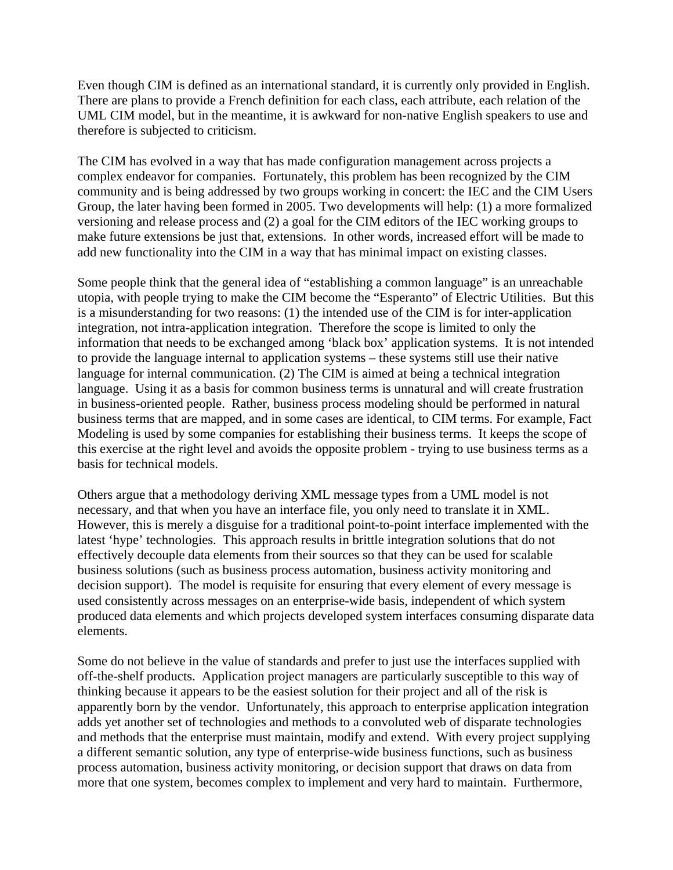Even though CIM is defined as an international standard, it is currently only provided in English. There are plans to provide a French definition for each class, each attribute, each relation of the UML CIM model, but in the meantime, it is awkward for non-native English speakers to use and therefore is subjected to criticism.

The CIM has evolved in a way that has made configuration management across projects a complex endeavor for companies. Fortunately, this problem has been recognized by the CIM community and is being addressed by two groups working in concert: the IEC and the CIM Users Group, the later having been formed in 2005. Two developments will help: (1) a more formalized versioning and release process and (2) a goal for the CIM editors of the IEC working groups to make future extensions be just that, extensions. In other words, increased effort will be made to add new functionality into the CIM in a way that has minimal impact on existing classes.

Some people think that the general idea of "establishing a common language" is an unreachable utopia, with people trying to make the CIM become the "Esperanto" of Electric Utilities. But this is a misunderstanding for two reasons: (1) the intended use of the CIM is for inter-application integration, not intra-application integration. Therefore the scope is limited to only the information that needs to be exchanged among 'black box' application systems. It is not intended to provide the language internal to application systems – these systems still use their native language for internal communication. (2) The CIM is aimed at being a technical integration language. Using it as a basis for common business terms is unnatural and will create frustration in business-oriented people. Rather, business process modeling should be performed in natural business terms that are mapped, and in some cases are identical, to CIM terms. For example, Fact Modeling is used by some companies for establishing their business terms. It keeps the scope of this exercise at the right level and avoids the opposite problem - trying to use business terms as a basis for technical models.

Others argue that a methodology deriving XML message types from a UML model is not necessary, and that when you have an interface file, you only need to translate it in XML. However, this is merely a disguise for a traditional point-to-point interface implemented with the latest 'hype' technologies. This approach results in brittle integration solutions that do not effectively decouple data elements from their sources so that they can be used for scalable business solutions (such as business process automation, business activity monitoring and decision support). The model is requisite for ensuring that every element of every message is used consistently across messages on an enterprise-wide basis, independent of which system produced data elements and which projects developed system interfaces consuming disparate data elements.

Some do not believe in the value of standards and prefer to just use the interfaces supplied with off-the-shelf products. Application project managers are particularly susceptible to this way of thinking because it appears to be the easiest solution for their project and all of the risk is apparently born by the vendor. Unfortunately, this approach to enterprise application integration adds yet another set of technologies and methods to a convoluted web of disparate technologies and methods that the enterprise must maintain, modify and extend. With every project supplying a different semantic solution, any type of enterprise-wide business functions, such as business process automation, business activity monitoring, or decision support that draws on data from more that one system, becomes complex to implement and very hard to maintain. Furthermore,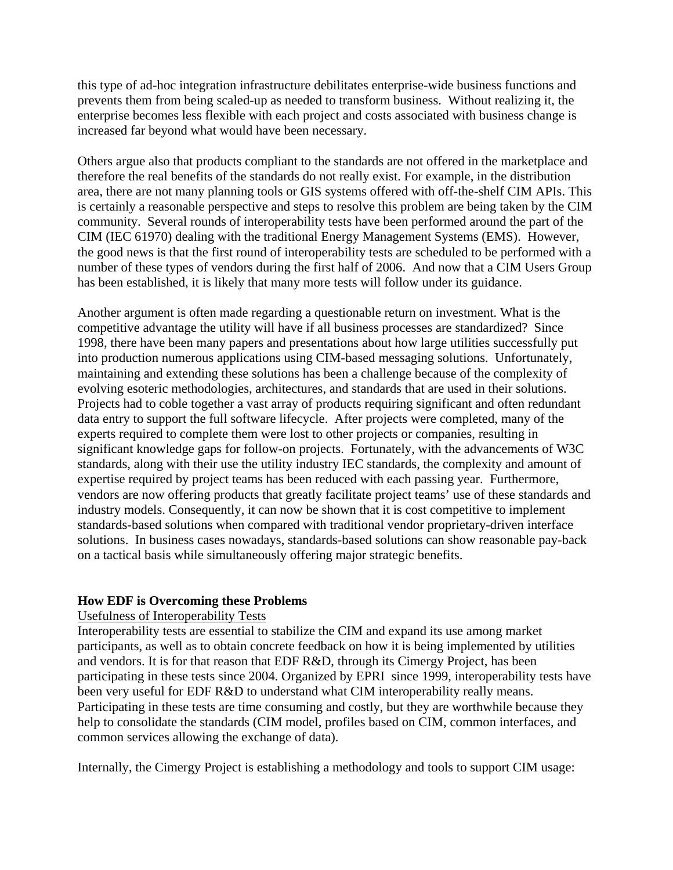this type of ad-hoc integration infrastructure debilitates enterprise-wide business functions and prevents them from being scaled-up as needed to transform business. Without realizing it, the enterprise becomes less flexible with each project and costs associated with business change is increased far beyond what would have been necessary.

Others argue also that products compliant to the standards are not offered in the marketplace and therefore the real benefits of the standards do not really exist. For example, in the distribution area, there are not many planning tools or GIS systems offered with off-the-shelf CIM APIs. This is certainly a reasonable perspective and steps to resolve this problem are being taken by the CIM community. Several rounds of interoperability tests have been performed around the part of the CIM (IEC 61970) dealing with the traditional Energy Management Systems (EMS). However, the good news is that the first round of interoperability tests are scheduled to be performed with a number of these types of vendors during the first half of 2006. And now that a CIM Users Group has been established, it is likely that many more tests will follow under its guidance.

Another argument is often made regarding a questionable return on investment. What is the competitive advantage the utility will have if all business processes are standardized? Since 1998, there have been many papers and presentations about how large utilities successfully put into production numerous applications using CIM-based messaging solutions. Unfortunately, maintaining and extending these solutions has been a challenge because of the complexity of evolving esoteric methodologies, architectures, and standards that are used in their solutions. Projects had to coble together a vast array of products requiring significant and often redundant data entry to support the full software lifecycle. After projects were completed, many of the experts required to complete them were lost to other projects or companies, resulting in significant knowledge gaps for follow-on projects. Fortunately, with the advancements of W3C standards, along with their use the utility industry IEC standards, the complexity and amount of expertise required by project teams has been reduced with each passing year. Furthermore, vendors are now offering products that greatly facilitate project teams' use of these standards and industry models. Consequently, it can now be shown that it is cost competitive to implement standards-based solutions when compared with traditional vendor proprietary-driven interface solutions. In business cases nowadays, standards-based solutions can show reasonable pay-back on a tactical basis while simultaneously offering major strategic benefits.

# **How EDF is Overcoming these Problems**

#### Usefulness of Interoperability Tests

Interoperability tests are essential to stabilize the CIM and expand its use among market participants, as well as to obtain concrete feedback on how it is being implemented by utilities and vendors. It is for that reason that EDF R&D, through its Cimergy Project, has been participating in these tests since 2004. Organized by EPRI since 1999, interoperability tests have been very useful for EDF R&D to understand what CIM interoperability really means. Participating in these tests are time consuming and costly, but they are worthwhile because they help to consolidate the standards (CIM model, profiles based on CIM, common interfaces, and common services allowing the exchange of data).

Internally, the Cimergy Project is establishing a methodology and tools to support CIM usage: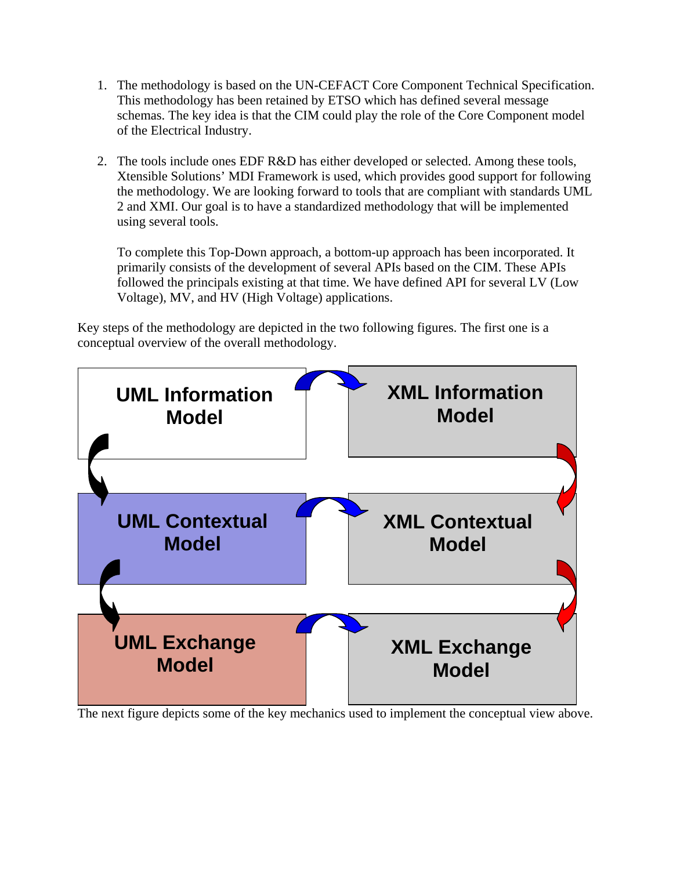- 1. The methodology is based on the UN-CEFACT Core Component Technical Specification. This methodology has been retained by ETSO which has defined several message schemas. The key idea is that the CIM could play the role of the Core Component model of the Electrical Industry.
- 2. The tools include ones EDF R&D has either developed or selected. Among these tools, Xtensible Solutions' MDI Framework is used, which provides good support for following the methodology. We are looking forward to tools that are compliant with standards UML 2 and XMI. Our goal is to have a standardized methodology that will be implemented using several tools.

To complete this Top-Down approach, a bottom-up approach has been incorporated. It primarily consists of the development of several APIs based on the CIM. These APIs followed the principals existing at that time. We have defined API for several LV (Low Voltage), MV, and HV (High Voltage) applications.

Key steps of the methodology are depicted in the two following figures. The first one is a conceptual overview of the overall methodology.



The next figure depicts some of the key mechanics used to implement the conceptual view above.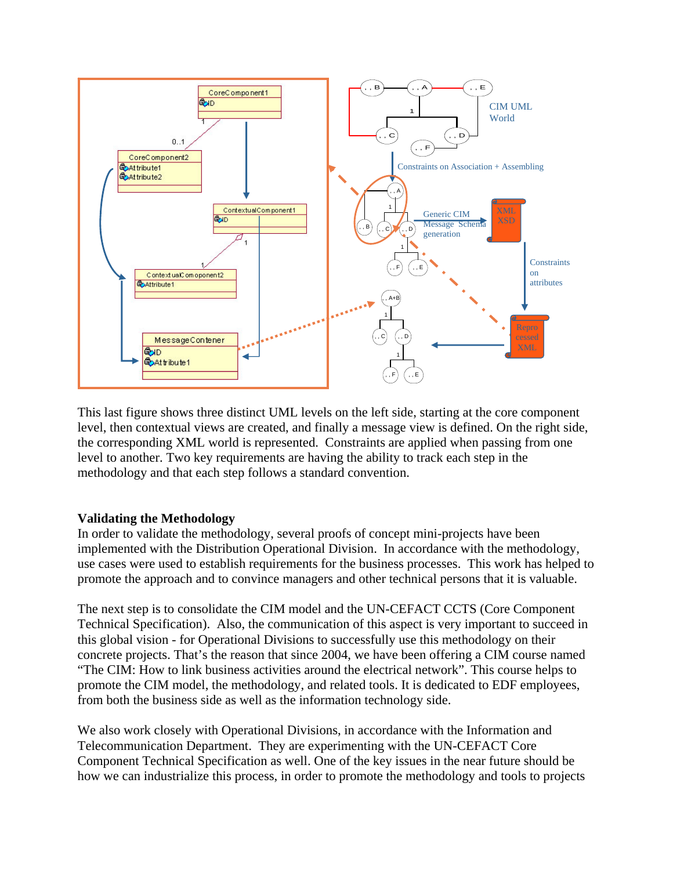

This last figure shows three distinct UML levels on the left side, starting at the core component level, then contextual views are created, and finally a message view is defined. On the right side, the corresponding XML world is represented. Constraints are applied when passing from one level to another. Two key requirements are having the ability to track each step in the methodology and that each step follows a standard convention.

#### **Validating the Methodology**

In order to validate the methodology, several proofs of concept mini-projects have been implemented with the Distribution Operational Division. In accordance with the methodology, use cases were used to establish requirements for the business processes. This work has helped to promote the approach and to convince managers and other technical persons that it is valuable.

The next step is to consolidate the CIM model and the UN-CEFACT CCTS (Core Component Technical Specification). Also, the communication of this aspect is very important to succeed in this global vision - for Operational Divisions to successfully use this methodology on their concrete projects. That's the reason that since 2004, we have been offering a CIM course named "The CIM: How to link business activities around the electrical network". This course helps to promote the CIM model, the methodology, and related tools. It is dedicated to EDF employees, from both the business side as well as the information technology side.

We also work closely with Operational Divisions, in accordance with the Information and Telecommunication Department. They are experimenting with the UN-CEFACT Core Component Technical Specification as well. One of the key issues in the near future should be how we can industrialize this process, in order to promote the methodology and tools to projects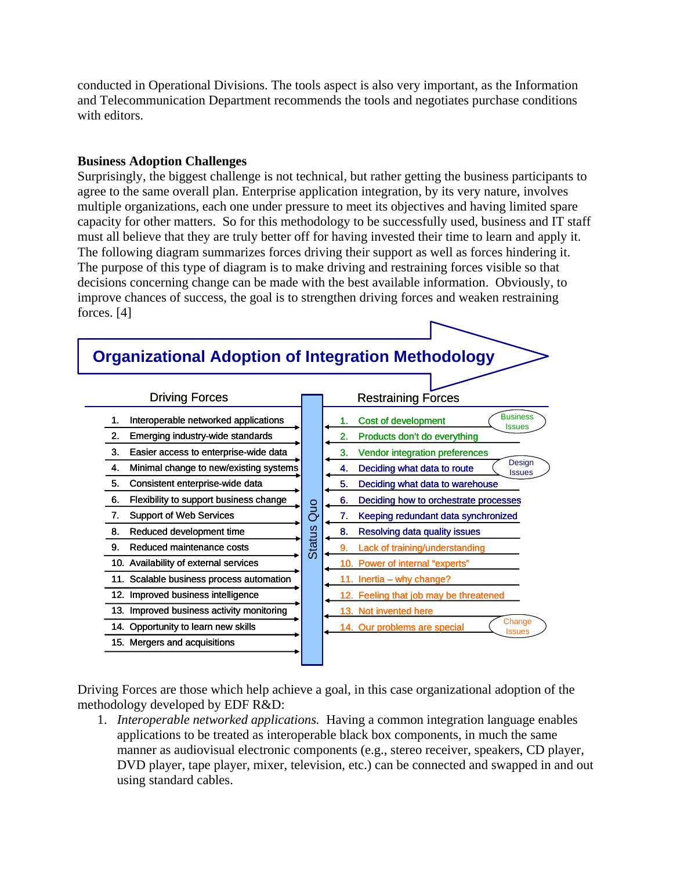conducted in Operational Divisions. The tools aspect is also very important, as the Information and Telecommunication Department recommends the tools and negotiates purchase conditions with editors.

### **Business Adoption Challenges**

Surprisingly, the biggest challenge is not technical, but rather getting the business participants to agree to the same overall plan. Enterprise application integration, by its very nature, involves multiple organizations, each one under pressure to meet its objectives and having limited spare capacity for other matters. So for this methodology to be successfully used, business and IT staff must all believe that they are truly better off for having invested their time to learn and apply it. The following diagram summarizes forces driving their support as well as forces hindering it. The purpose of this type of diagram is to make driving and restraining forces visible so that decisions concerning change can be made with the best available information. Obviously, to improve chances of success, the goal is to strengthen driving forces and weaken restraining forces. [4]



Driving Forces are those which help achieve a goal, in this case organizational adoption of the methodology developed by EDF R&D:

1. *Interoperable networked applications.* Having a common integration language enables applications to be treated as interoperable black box components, in much the same manner as audiovisual electronic components (e.g., stereo receiver, speakers, CD player, DVD player, tape player, mixer, television, etc.) can be connected and swapped in and out using standard cables.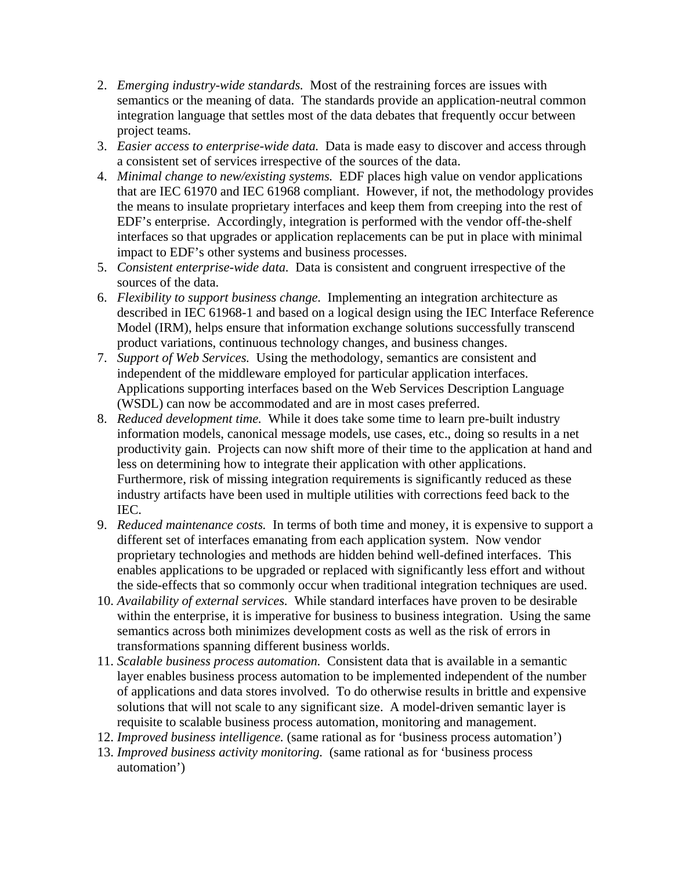- 2. *Emerging industry-wide standards.* Most of the restraining forces are issues with semantics or the meaning of data. The standards provide an application-neutral common integration language that settles most of the data debates that frequently occur between project teams.
- 3. *Easier access to enterprise-wide data.* Data is made easy to discover and access through a consistent set of services irrespective of the sources of the data.
- 4. *Minimal change to new/existing systems.* EDF places high value on vendor applications that are IEC 61970 and IEC 61968 compliant. However, if not, the methodology provides the means to insulate proprietary interfaces and keep them from creeping into the rest of EDF's enterprise. Accordingly, integration is performed with the vendor off-the-shelf interfaces so that upgrades or application replacements can be put in place with minimal impact to EDF's other systems and business processes.
- 5. *Consistent enterprise-wide data.* Data is consistent and congruent irrespective of the sources of the data.
- 6. *Flexibility to support business change.* Implementing an integration architecture as described in IEC 61968-1 and based on a logical design using the IEC Interface Reference Model (IRM), helps ensure that information exchange solutions successfully transcend product variations, continuous technology changes, and business changes.
- 7. *Support of Web Services.* Using the methodology, semantics are consistent and independent of the middleware employed for particular application interfaces. Applications supporting interfaces based on the Web Services Description Language (WSDL) can now be accommodated and are in most cases preferred.
- 8. *Reduced development time.* While it does take some time to learn pre-built industry information models, canonical message models, use cases, etc., doing so results in a net productivity gain. Projects can now shift more of their time to the application at hand and less on determining how to integrate their application with other applications. Furthermore, risk of missing integration requirements is significantly reduced as these industry artifacts have been used in multiple utilities with corrections feed back to the IEC.
- 9. *Reduced maintenance costs.* In terms of both time and money, it is expensive to support a different set of interfaces emanating from each application system. Now vendor proprietary technologies and methods are hidden behind well-defined interfaces. This enables applications to be upgraded or replaced with significantly less effort and without the side-effects that so commonly occur when traditional integration techniques are used.
- 10. *Availability of external services.* While standard interfaces have proven to be desirable within the enterprise, it is imperative for business to business integration. Using the same semantics across both minimizes development costs as well as the risk of errors in transformations spanning different business worlds.
- 11. *Scalable business process automation.* Consistent data that is available in a semantic layer enables business process automation to be implemented independent of the number of applications and data stores involved. To do otherwise results in brittle and expensive solutions that will not scale to any significant size. A model-driven semantic layer is requisite to scalable business process automation, monitoring and management.
- 12. *Improved business intelligence.* (same rational as for 'business process automation')
- 13. *Improved business activity monitoring.* (same rational as for 'business process automation')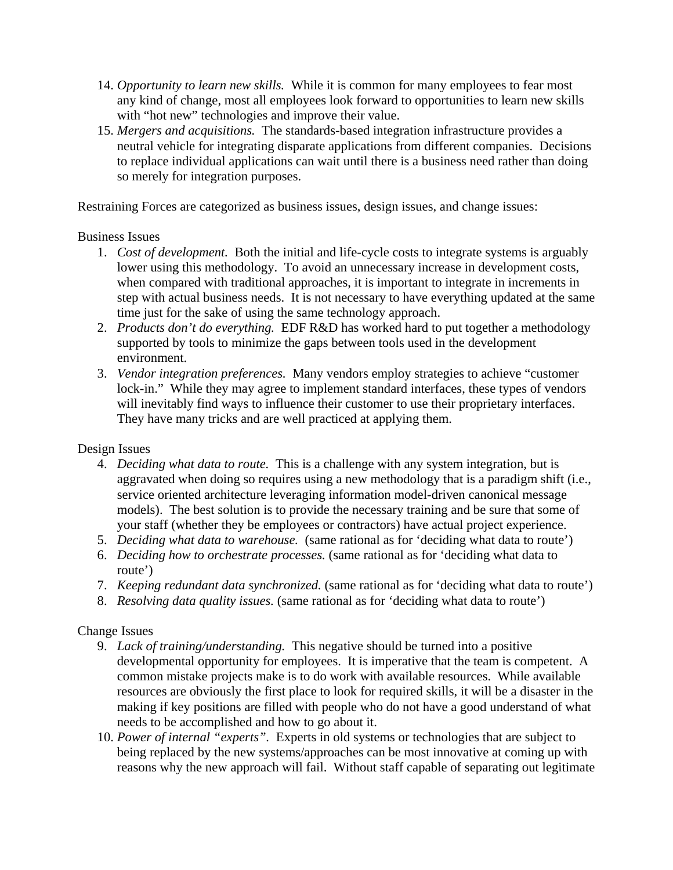- 14. *Opportunity to learn new skills.* While it is common for many employees to fear most any kind of change, most all employees look forward to opportunities to learn new skills with "hot new" technologies and improve their value.
- 15. *Mergers and acquisitions.* The standards-based integration infrastructure provides a neutral vehicle for integrating disparate applications from different companies. Decisions to replace individual applications can wait until there is a business need rather than doing so merely for integration purposes.

Restraining Forces are categorized as business issues, design issues, and change issues:

### Business Issues

- 1. *Cost of development.* Both the initial and life-cycle costs to integrate systems is arguably lower using this methodology. To avoid an unnecessary increase in development costs, when compared with traditional approaches, it is important to integrate in increments in step with actual business needs. It is not necessary to have everything updated at the same time just for the sake of using the same technology approach.
- 2. *Products don't do everything.* EDF R&D has worked hard to put together a methodology supported by tools to minimize the gaps between tools used in the development environment.
- 3. *Vendor integration preferences.* Many vendors employ strategies to achieve "customer lock-in." While they may agree to implement standard interfaces, these types of vendors will inevitably find ways to influence their customer to use their proprietary interfaces. They have many tricks and are well practiced at applying them.

# Design Issues

- 4. *Deciding what data to route.* This is a challenge with any system integration, but is aggravated when doing so requires using a new methodology that is a paradigm shift (i.e., service oriented architecture leveraging information model-driven canonical message models). The best solution is to provide the necessary training and be sure that some of your staff (whether they be employees or contractors) have actual project experience.
- 5. *Deciding what data to warehouse.* (same rational as for 'deciding what data to route')
- 6. *Deciding how to orchestrate processes.* (same rational as for 'deciding what data to route')
- 7. *Keeping redundant data synchronized.* (same rational as for 'deciding what data to route')
- 8. *Resolving data quality issues.* (same rational as for 'deciding what data to route')

# Change Issues

- 9. *Lack of training/understanding.* This negative should be turned into a positive developmental opportunity for employees. It is imperative that the team is competent. A common mistake projects make is to do work with available resources. While available resources are obviously the first place to look for required skills, it will be a disaster in the making if key positions are filled with people who do not have a good understand of what needs to be accomplished and how to go about it.
- 10. *Power of internal "experts".* Experts in old systems or technologies that are subject to being replaced by the new systems/approaches can be most innovative at coming up with reasons why the new approach will fail. Without staff capable of separating out legitimate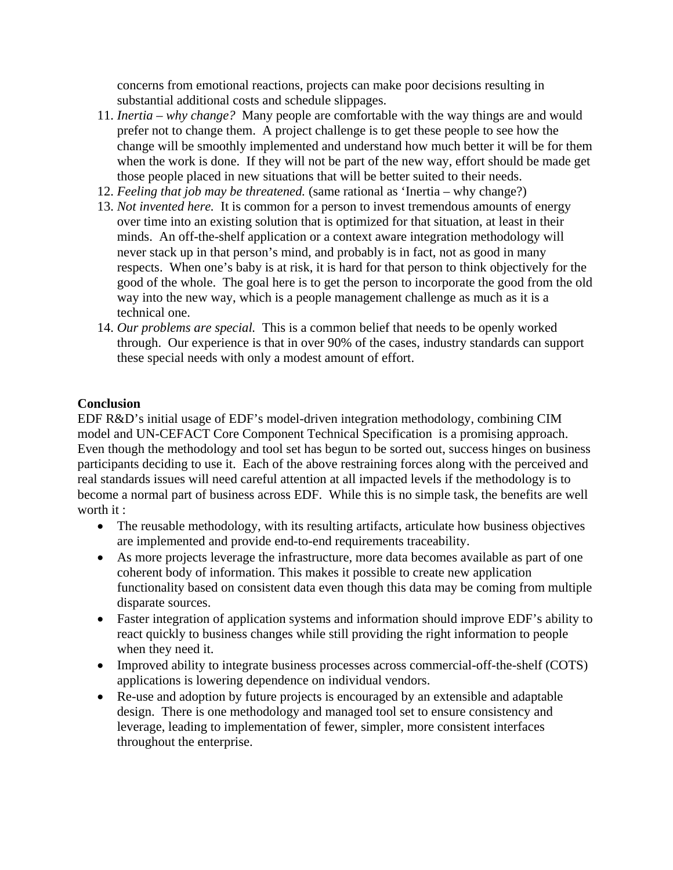concerns from emotional reactions, projects can make poor decisions resulting in substantial additional costs and schedule slippages.

- 11. *Inertia why change?* Many people are comfortable with the way things are and would prefer not to change them. A project challenge is to get these people to see how the change will be smoothly implemented and understand how much better it will be for them when the work is done. If they will not be part of the new way, effort should be made get those people placed in new situations that will be better suited to their needs.
- 12. *Feeling that job may be threatened.* (same rational as 'Inertia why change?)
- 13. *Not invented here.* It is common for a person to invest tremendous amounts of energy over time into an existing solution that is optimized for that situation, at least in their minds. An off-the-shelf application or a context aware integration methodology will never stack up in that person's mind, and probably is in fact, not as good in many respects. When one's baby is at risk, it is hard for that person to think objectively for the good of the whole. The goal here is to get the person to incorporate the good from the old way into the new way, which is a people management challenge as much as it is a technical one.
- 14. *Our problems are special.* This is a common belief that needs to be openly worked through. Our experience is that in over 90% of the cases, industry standards can support these special needs with only a modest amount of effort.

# **Conclusion**

EDF R&D's initial usage of EDF's model-driven integration methodology, combining CIM model and UN-CEFACT Core Component Technical Specification is a promising approach. Even though the methodology and tool set has begun to be sorted out, success hinges on business participants deciding to use it. Each of the above restraining forces along with the perceived and real standards issues will need careful attention at all impacted levels if the methodology is to become a normal part of business across EDF. While this is no simple task, the benefits are well worth it :

- The reusable methodology, with its resulting artifacts, articulate how business objectives are implemented and provide end-to-end requirements traceability.
- As more projects leverage the infrastructure, more data becomes available as part of one coherent body of information. This makes it possible to create new application functionality based on consistent data even though this data may be coming from multiple disparate sources.
- Faster integration of application systems and information should improve EDF's ability to react quickly to business changes while still providing the right information to people when they need it.
- Improved ability to integrate business processes across commercial-off-the-shelf (COTS) applications is lowering dependence on individual vendors.
- Re-use and adoption by future projects is encouraged by an extensible and adaptable design. There is one methodology and managed tool set to ensure consistency and leverage, leading to implementation of fewer, simpler, more consistent interfaces throughout the enterprise.